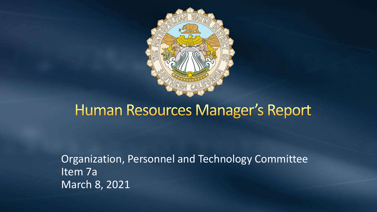

#### **Human Resources Manager's Report**

Organization, Personnel and Technology Committee Item 7a March 8, 2021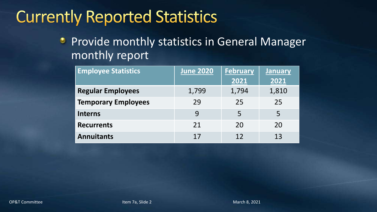# **Currently Reported Statistics**

Provide monthly statistics in General Manager  $\bullet$ monthly report

| <b>Employee Statistics</b> | <b>June 2020</b> | <b>February</b> | <b>January</b> |
|----------------------------|------------------|-----------------|----------------|
|                            |                  | 2021            | 2021           |
| <b>Regular Employees</b>   | 1,799            | 1,794           | 1,810          |
| <b>Temporary Employees</b> | 29               | 25              | 25             |
| <b>Interns</b>             | 9                | 5               | 5              |
| <b>Recurrents</b>          | 21               | 20              | 20             |
| <b>Annuitants</b>          | 17               | 12              | 13             |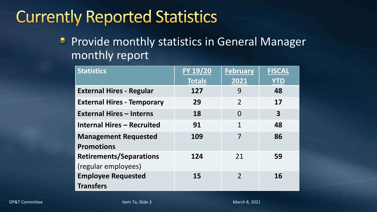# **Currently Reported Statistics**

Provide monthly statistics in General Manager  $\bullet$ monthly report

| <b>Statistics</b>                 | FY 19/20      | <b>February</b> | <b>FISCAL</b> |
|-----------------------------------|---------------|-----------------|---------------|
|                                   | <b>Totals</b> | 2021            | <b>YTD</b>    |
| <b>External Hires - Regular</b>   | 127           | 9               | 48            |
| <b>External Hires - Temporary</b> | 29            | $\overline{2}$  | 17            |
| <b>External Hires - Interns</b>   | 18            | $\Omega$        | 3             |
| <b>Internal Hires - Recruited</b> | 91            | 1               | 48            |
| <b>Management Requested</b>       | 109           |                 | 86            |
| <b>Promotions</b>                 |               |                 |               |
| <b>Retirements/Separations</b>    | 124           | 21              | 59            |
| (regular employees)               |               |                 |               |
| <b>Employee Requested</b>         | 15            | $\overline{2}$  | 16            |
| <b>Transfers</b>                  |               |                 |               |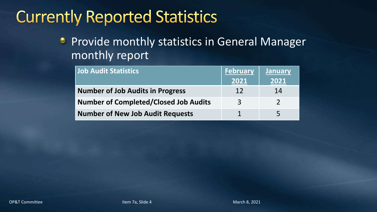## **Currently Reported Statistics**

Provide monthly statistics in General Manager  $\bullet$ monthly report

| <b>Job Audit Statistics</b>                  | <b>February</b> | <b>January</b> |
|----------------------------------------------|-----------------|----------------|
|                                              | 2021            | 2021           |
| <b>Number of Job Audits in Progress</b>      | 12              | 14             |
| <b>Number of Completed/Closed Job Audits</b> | 3               |                |
| <b>Number of New Job Audit Requests</b>      |                 | 5              |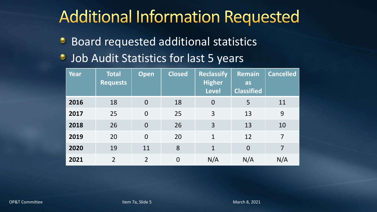# **Additional Information Requested**

- Board requested additional statistics ٥
- Job Audit Statistics for last 5 years ۰

| Year | <b>Total</b><br><b>Requests</b> | <b>Open</b>    | <b>Closed</b>  | <b>Reclassify</b><br><b>Higher</b><br><b>Level</b> | <b>Remain</b><br>as<br><b>Classified</b> | <b>Cancelled</b> |
|------|---------------------------------|----------------|----------------|----------------------------------------------------|------------------------------------------|------------------|
| 2016 | 18                              | $\overline{0}$ | 18             | $\overline{0}$                                     | 5                                        | 11               |
| 2017 | 25                              | $\overline{0}$ | 25             | 3                                                  | 13                                       | 9                |
| 2018 | 26                              | $\overline{0}$ | 26             | 3                                                  | 13                                       | 10               |
| 2019 | 20                              | $\overline{0}$ | 20             | $\mathbf{1}$                                       | 12                                       | $\overline{7}$   |
| 2020 | 19                              | 11             | 8              | $\mathbf{1}$                                       | $\overline{0}$                           | 7                |
| 2021 | $\overline{2}$                  | $\overline{2}$ | $\overline{0}$ | N/A                                                | N/A                                      | N/A              |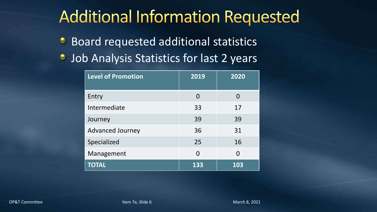## **Additional Information Requested**

- Board requested additional statistics ٥
- Job Analysis Statistics for last 2 years ۰

| <b>Level of Promotion</b> | 2019     | 2020     |
|---------------------------|----------|----------|
| Entry                     | $\Omega$ | O        |
| Intermediate              | 33       | 17       |
| Journey                   | 39       | 39       |
| <b>Advanced Journey</b>   | 36       | 31       |
| Specialized               | 25       | 16       |
| Management                | $\Omega$ | $\Omega$ |
| <b>TOTAL</b>              | 133      | 103      |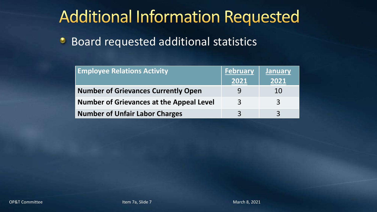# **Additional Information Requested**

Board requested additional statistics ۰

| <b>Employee Relations Activity</b>              | <b>February</b> | <b>January</b> |
|-------------------------------------------------|-----------------|----------------|
|                                                 | 2021            | 2021           |
| <b>Number of Grievances Currently Open</b>      |                 | 10             |
| <b>Number of Grievances at the Appeal Level</b> | $\mathbf{R}$    | $\mathcal{E}$  |
| <b>Number of Unfair Labor Charges</b>           | $\mathbf{P}$    | $\mathbf{R}$   |